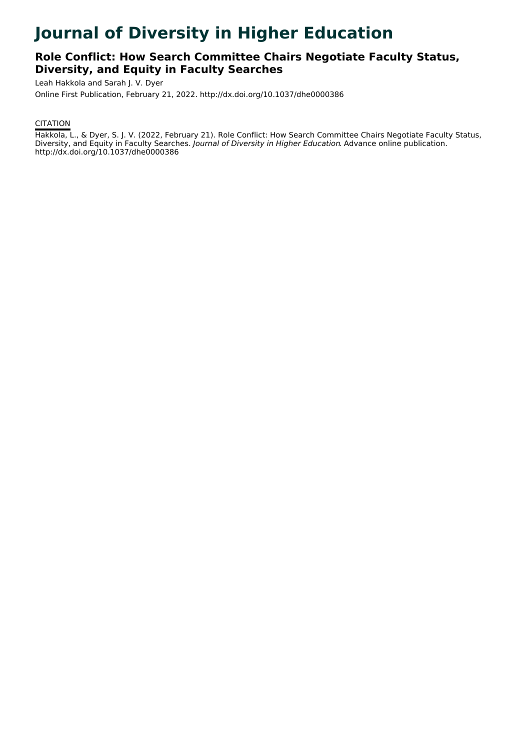# **Journal of Diversity in Higher Education**

# **Role Conflict: How Search Committee Chairs Negotiate Faculty Status, Diversity, and Equity in Faculty Searches**

Leah Hakkola and Sarah J. V. Dyer

Online First Publication, February 21, 2022. http://dx.doi.org/10.1037/dhe0000386

# **CITATION**

Hakkola, L., & Dyer, S. J. V. (2022, February 21). Role Conflict: How Search Committee Chairs Negotiate Faculty Status, Diversity, and Equity in Faculty Searches. Journal of Diversity in Higher Education. Advance online publication. http://dx.doi.org/10.1037/dhe0000386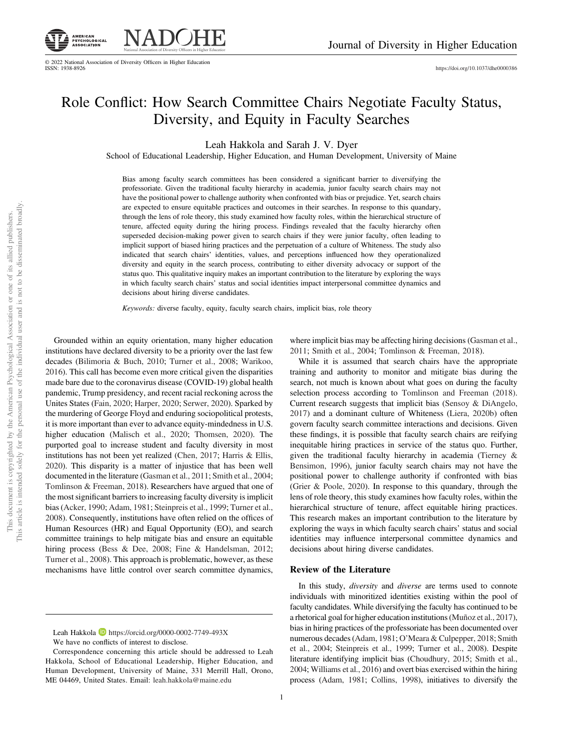

<https://doi.org/10.1037/dhe0000386>

# Role Conflict: How Search Committee Chairs Negotiate Faculty Status, Diversity, and Equity in Faculty Searches

Leah Hakkola and Sarah J. V. Dyer

School of Educational Leadership, Higher Education, and Human Development, University of Maine

Bias among faculty search committees has been considered a significant barrier to diversifying the professoriate. Given the traditional faculty hierarchy in academia, junior faculty search chairs may not have the positional power to challenge authority when confronted with bias or prejudice. Yet, search chairs are expected to ensure equitable practices and outcomes in their searches. In response to this quandary, through the lens of role theory, this study examined how faculty roles, within the hierarchical structure of tenure, affected equity during the hiring process. Findings revealed that the faculty hierarchy often superseded decision-making power given to search chairs if they were junior faculty, often leading to implicit support of biased hiring practices and the perpetuation of a culture of Whiteness. The study also indicated that search chairs' identities, values, and perceptions influenced how they operationalized diversity and equity in the search process, contributing to either diversity advocacy or support of the status quo. This qualitative inquiry makes an important contribution to the literature by exploring the ways in which faculty search chairs' status and social identities impact interpersonal committee dynamics and decisions about hiring diverse candidates.

Keywords: diverse faculty, equity, faculty search chairs, implicit bias, role theory

Grounded within an equity orientation, many higher education institutions have declared diversity to be a priority over the last few decades (Bilimoria & Buch, 2010; Turner et al., 2008; Warikoo, 2016). This call has become even more critical given the disparities made bare due to the coronavirus disease (COVID-19) global health pandemic, Trump presidency, and recent racial reckoning across the Unites States (Fain, 2020; Harper, 2020; Serwer, 2020). Sparked by the murdering of George Floyd and enduring sociopolitical protests, it is more important than ever to advance equity-mindedness in U.S. higher education (Malisch et al., 2020; Thomsen, 2020). The purported goal to increase student and faculty diversity in most institutions has not been yet realized (Chen, 2017; Harris & Ellis, 2020). This disparity is a matter of injustice that has been well documented in the literature (Gasman et al., 2011; Smith et al., 2004; Tomlinson & Freeman, 2018). Researchers have argued that one of the most significant barriers to increasing faculty diversity is implicit bias (Acker, 1990; Adam, 1981; Steinpreis et al., 1999; Turner et al., 2008). Consequently, institutions have often relied on the offices of Human Resources (HR) and Equal Opportunity (EO), and search committee trainings to help mitigate bias and ensure an equitable hiring process (Bess & Dee, 2008; Fine & Handelsman, 2012; Turner et al., 2008). This approach is problematic, however, as these mechanisms have little control over search committee dynamics,

We have no conflicts of interest to disclose.

where implicit bias may be affecting hiring decisions (Gasman et al., 2011; Smith et al., 2004; Tomlinson & Freeman, 2018).

While it is assumed that search chairs have the appropriate training and authority to monitor and mitigate bias during the search, not much is known about what goes on during the faculty selection process according to Tomlinson and Freeman (2018). Current research suggests that implicit bias (Sensoy & DiAngelo, 2017) and a dominant culture of Whiteness (Liera, 2020b) often govern faculty search committee interactions and decisions. Given these findings, it is possible that faculty search chairs are reifying inequitable hiring practices in service of the status quo. Further, given the traditional faculty hierarchy in academia (Tierney & Bensimon, 1996), junior faculty search chairs may not have the positional power to challenge authority if confronted with bias (Grier & Poole, 2020). In response to this quandary, through the lens of role theory, this study examines how faculty roles, within the hierarchical structure of tenure, affect equitable hiring practices. This research makes an important contribution to the literature by exploring the ways in which faculty search chairs' status and social identities may influence interpersonal committee dynamics and decisions about hiring diverse candidates.

#### Review of the Literature

In this study, *diversity* and *diverse* are terms used to connote individuals with minoritized identities existing within the pool of faculty candidates. While diversifying the faculty has continued to be a rhetorical goal for higher education institutions (Muñoz et al., 2017), bias in hiring practices of the professoriate has been documented over numerous decades (Adam, 1981; O'Meara & Culpepper, 2018; Smith et al., 2004; Steinpreis et al., 1999; Turner et al., 2008). Despite literature identifying implicit bias (Choudhury, 2015; Smith et al., 2004; Williams et al., 2016) and overt bias exercised within the hiring process (Adam, 1981; Collins, 1998), initiatives to diversify the

Leah Hakkola **h**ttps://orcid.org/0000-0002-7749-493X

Correspondence concerning this article should be addressed to Leah Hakkola, School of Educational Leadership, Higher Education, and Human Development, University of Maine, 331 Merrill Hall, Orono, ME 04469, United States. Email: [leah.hakkola@maine.edu](mailto:leah.hakkola@maine.edu)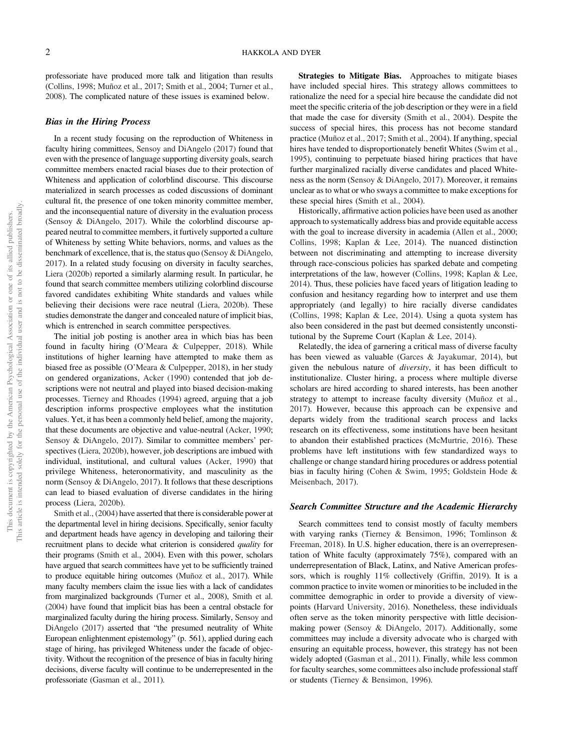professoriate have produced more talk and litigation than results (Collins, 1998; Muñoz et al., 2017; Smith et al., 2004; Turner et al., 2008). The complicated nature of these issues is examined below.

#### Bias in the Hiring Process

In a recent study focusing on the reproduction of Whiteness in faculty hiring committees, Sensoy and DiAngelo (2017) found that even with the presence of language supporting diversity goals, search committee members enacted racial biases due to their protection of Whiteness and application of colorblind discourse. This discourse materialized in search processes as coded discussions of dominant cultural fit, the presence of one token minority committee member, and the inconsequential nature of diversity in the evaluation process (Sensoy & DiAngelo, 2017). While the colorblind discourse appeared neutral to committee members, it furtively supported a culture of Whiteness by setting White behaviors, norms, and values as the benchmark of excellence, that is, the status quo (Sensoy & DiAngelo, 2017). In a related study focusing on diversity in faculty searches, Liera (2020b) reported a similarly alarming result. In particular, he found that search committee members utilizing colorblind discourse favored candidates exhibiting White standards and values while believing their decisions were race neutral (Liera, 2020b). These studies demonstrate the danger and concealed nature of implicit bias, which is entrenched in search committee perspectives.

The initial job posting is another area in which bias has been found in faculty hiring (O'Meara & Culpepper, 2018). While institutions of higher learning have attempted to make them as biased free as possible (O'Meara & Culpepper, 2018), in her study on gendered organizations, Acker (1990) contended that job descriptions were not neutral and played into biased decision-making processes. Tierney and Rhoades (1994) agreed, arguing that a job description informs prospective employees what the institution values. Yet, it has been a commonly held belief, among the majority, that these documents are objective and value-neutral (Acker, 1990; Sensoy & DiAngelo, 2017). Similar to committee members' perspectives (Liera, 2020b), however, job descriptions are imbued with individual, institutional, and cultural values (Acker, 1990) that privilege Whiteness, heteronormativity, and masculinity as the norm (Sensoy & DiAngelo, 2017). It follows that these descriptions can lead to biased evaluation of diverse candidates in the hiring process (Liera, 2020b).

Smith et al., (2004) have asserted that there is considerable power at the departmental level in hiring decisions. Specifically, senior faculty and department heads have agency in developing and tailoring their recruitment plans to decide what criterion is considered quality for their programs (Smith et al., 2004). Even with this power, scholars have argued that search committees have yet to be sufficiently trained to produce equitable hiring outcomes (Muñoz et al., 2017). While many faculty members claim the issue lies with a lack of candidates from marginalized backgrounds (Turner et al., 2008), Smith et al. (2004) have found that implicit bias has been a central obstacle for marginalized faculty during the hiring process. Similarly, Sensoy and DiAngelo (2017) asserted that "the presumed neutrality of White European enlightenment epistemology" (p. 561), applied during each stage of hiring, has privileged Whiteness under the facade of objectivity. Without the recognition of the presence of bias in faculty hiring decisions, diverse faculty will continue to be underrepresented in the professoriate (Gasman et al., 2011).

Strategies to Mitigate Bias. Approaches to mitigate biases have included special hires. This strategy allows committees to rationalize the need for a special hire because the candidate did not meet the specific criteria of the job description or they were in a field that made the case for diversity (Smith et al., 2004). Despite the success of special hires, this process has not become standard practice (Muñoz et al., 2017; Smith et al., 2004). If anything, special hires have tended to disproportionately benefit Whites (Swim et al., 1995), continuing to perpetuate biased hiring practices that have further marginalized racially diverse candidates and placed Whiteness as the norm (Sensoy & DiAngelo, 2017). Moreover, it remains unclear as to what or who sways a committee to make exceptions for these special hires (Smith et al., 2004).

Historically, affirmative action policies have been used as another approach to systematically address bias and provide equitable access with the goal to increase diversity in academia (Allen et al., 2000; Collins, 1998; Kaplan & Lee, 2014). The nuanced distinction between not discriminating and attempting to increase diversity through race-conscious policies has sparked debate and competing interpretations of the law, however (Collins, 1998; Kaplan & Lee, 2014). Thus, these policies have faced years of litigation leading to confusion and hesitancy regarding how to interpret and use them appropriately (and legally) to hire racially diverse candidates (Collins, 1998; Kaplan & Lee, 2014). Using a quota system has also been considered in the past but deemed consistently unconstitutional by the Supreme Court (Kaplan & Lee, 2014).

Relatedly, the idea of garnering a critical mass of diverse faculty has been viewed as valuable (Garces & Jayakumar, 2014), but given the nebulous nature of diversity, it has been difficult to institutionalize. Cluster hiring, a process where multiple diverse scholars are hired according to shared interests, has been another strategy to attempt to increase faculty diversity (Muñoz et al., 2017). However, because this approach can be expensive and departs widely from the traditional search process and lacks research on its effectiveness, some institutions have been hesitant to abandon their established practices (McMurtrie, 2016). These problems have left institutions with few standardized ways to challenge or change standard hiring procedures or address potential bias in faculty hiring (Cohen & Swim, 1995; Goldstein Hode & Meisenbach, 2017).

#### Search Committee Structure and the Academic Hierarchy

Search committees tend to consist mostly of faculty members with varying ranks (Tierney & Bensimon, 1996; Tomlinson & Freeman, 2018). In U.S. higher education, there is an overrepresentation of White faculty (approximately 75%), compared with an underrepresentation of Black, Latinx, and Native American professors, which is roughly 11% collectively (Griffin, 2019). It is a common practice to invite women or minorities to be included in the committee demographic in order to provide a diversity of viewpoints (Harvard University, 2016). Nonetheless, these individuals often serve as the token minority perspective with little decisionmaking power (Sensoy & DiAngelo, 2017). Additionally, some committees may include a diversity advocate who is charged with ensuring an equitable process, however, this strategy has not been widely adopted (Gasman et al., 2011). Finally, while less common for faculty searches, some committees also include professional staff or students (Tierney & Bensimon, 1996).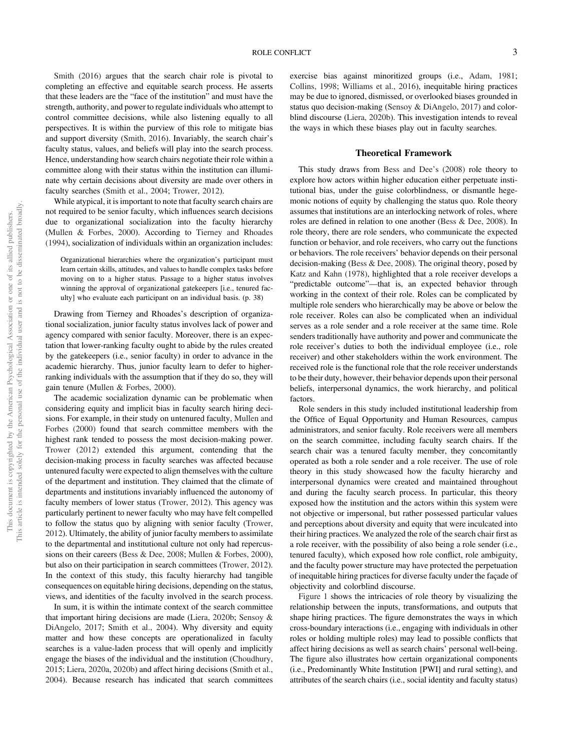Smith (2016) argues that the search chair role is pivotal to completing an effective and equitable search process. He asserts that these leaders are the "face of the institution" and must have the strength, authority, and power to regulate individuals who attempt to control committee decisions, while also listening equally to all perspectives. It is within the purview of this role to mitigate bias and support diversity (Smith, 2016). Invariably, the search chair's faculty status, values, and beliefs will play into the search process. Hence, understanding how search chairs negotiate their role within a committee along with their status within the institution can illuminate why certain decisions about diversity are made over others in faculty searches (Smith et al., 2004; Trower, 2012).

While atypical, it is important to note that faculty search chairs are not required to be senior faculty, which influences search decisions due to organizational socialization into the faculty hierarchy (Mullen & Forbes, 2000). According to Tierney and Rhoades (1994), socialization of individuals within an organization includes:

Organizational hierarchies where the organization's participant must learn certain skills, attitudes, and values to handle complex tasks before moving on to a higher status. Passage to a higher status involves winning the approval of organizational gatekeepers [i.e., tenured faculty] who evaluate each participant on an individual basis. (p. 38)

Drawing from Tierney and Rhoades's description of organizational socialization, junior faculty status involves lack of power and agency compared with senior faculty. Moreover, there is an expectation that lower-ranking faculty ought to abide by the rules created by the gatekeepers (i.e., senior faculty) in order to advance in the academic hierarchy. Thus, junior faculty learn to defer to higherranking individuals with the assumption that if they do so, they will gain tenure (Mullen & Forbes, 2000).

The academic socialization dynamic can be problematic when considering equity and implicit bias in faculty search hiring decisions. For example, in their study on untenured faculty, Mullen and Forbes (2000) found that search committee members with the highest rank tended to possess the most decision-making power. Trower (2012) extended this argument, contending that the decision-making process in faculty searches was affected because untenured faculty were expected to align themselves with the culture of the department and institution. They claimed that the climate of departments and institutions invariably influenced the autonomy of faculty members of lower status (Trower, 2012). This agency was particularly pertinent to newer faculty who may have felt compelled to follow the status quo by aligning with senior faculty (Trower, 2012). Ultimately, the ability of junior faculty members to assimilate to the departmental and institutional culture not only had repercussions on their careers (Bess & Dee, 2008; Mullen & Forbes, 2000), but also on their participation in search committees (Trower, 2012). In the context of this study, this faculty hierarchy had tangible consequences on equitable hiring decisions, depending on the status, views, and identities of the faculty involved in the search process.

In sum, it is within the intimate context of the search committee that important hiring decisions are made (Liera, 2020b; Sensoy & DiAngelo, 2017; Smith et al., 2004). Why diversity and equity matter and how these concepts are operationalized in faculty searches is a value-laden process that will openly and implicitly engage the biases of the individual and the institution (Choudhury, 2015; Liera, 2020a, 2020b) and affect hiring decisions (Smith et al., 2004). Because research has indicated that search committees exercise bias against minoritized groups (i.e., Adam, 1981; Collins, 1998; Williams et al., 2016), inequitable hiring practices may be due to ignored, dismissed, or overlooked biases grounded in status quo decision-making (Sensoy & DiAngelo, 2017) and colorblind discourse (Liera, 2020b). This investigation intends to reveal the ways in which these biases play out in faculty searches.

#### Theoretical Framework

This study draws from Bess and Dee's (2008) role theory to explore how actors within higher education either perpetuate institutional bias, under the guise colorblindness, or dismantle hegemonic notions of equity by challenging the status quo. Role theory assumes that institutions are an interlocking network of roles, where roles are defined in relation to one another (Bess & Dee, 2008). In role theory, there are role senders, who communicate the expected function or behavior, and role receivers, who carry out the functions or behaviors. The role receivers' behavior depends on their personal decision-making (Bess & Dee, 2008). The original theory, posed by Katz and Kahn (1978), highlighted that a role receiver develops a "predictable outcome"—that is, an expected behavior through working in the context of their role. Roles can be complicated by multiple role senders who hierarchically may be above or below the role receiver. Roles can also be complicated when an individual serves as a role sender and a role receiver at the same time. Role senders traditionally have authority and power and communicate the role receiver's duties to both the individual employee (i.e., role receiver) and other stakeholders within the work environment. The received role is the functional role that the role receiver understands to be their duty, however, their behavior depends upon their personal beliefs, interpersonal dynamics, the work hierarchy, and political factors.

Role senders in this study included institutional leadership from the Office of Equal Opportunity and Human Resources, campus administrators, and senior faculty. Role receivers were all members on the search committee, including faculty search chairs. If the search chair was a tenured faculty member, they concomitantly operated as both a role sender and a role receiver. The use of role theory in this study showcased how the faculty hierarchy and interpersonal dynamics were created and maintained throughout and during the faculty search process. In particular, this theory exposed how the institution and the actors within this system were not objective or impersonal, but rather possessed particular values and perceptions about diversity and equity that were inculcated into their hiring practices. We analyzed the role of the search chair first as a role receiver, with the possibility of also being a role sender (i.e., tenured faculty), which exposed how role conflict, role ambiguity, and the faculty power structure may have protected the perpetuation of inequitable hiring practices for diverse faculty under the façade of objectivity and colorblind discourse.

[Figure 1](#page-4-0) shows the intricacies of role theory by visualizing the relationship between the inputs, transformations, and outputs that shape hiring practices. The figure demonstrates the ways in which cross-boundary interactions (i.e., engaging with individuals in other roles or holding multiple roles) may lead to possible conflicts that affect hiring decisions as well as search chairs' personal well-being. The figure also illustrates how certain organizational components (i.e., Predominantly White Institution [PWI] and rural setting), and attributes of the search chairs (i.e., social identity and faculty status)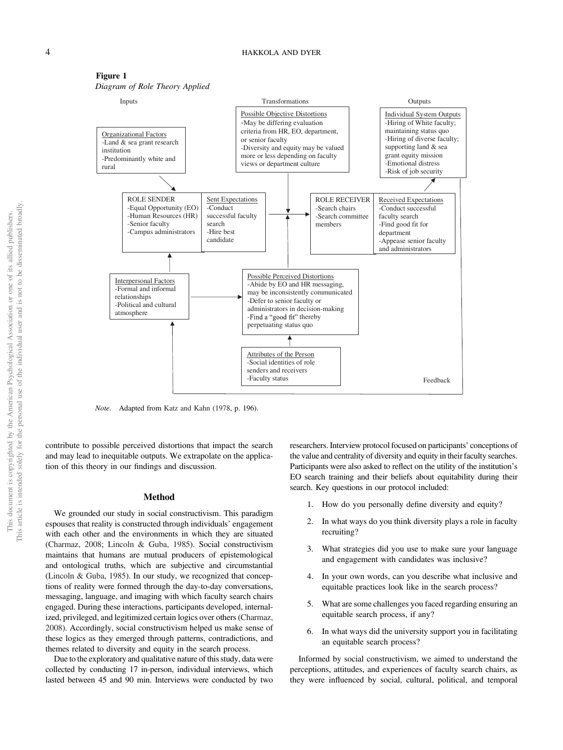

<span id="page-4-0"></span>Figure 1 Diagram of Role Theory Applied

Note. Adapted from Katz and Kahn (1978, p. 196).

contribute to possible perceived distortions that impact the search and may lead to inequitable outputs. We extrapolate on the application of this theory in our findings and discussion.

#### Method

We grounded our study in social constructivism. This paradigm espouses that reality is constructed through individuals' engagement with each other and the environments in which they are situated (Charmaz, 2008; Lincoln & Guba, 1985). Social constructivism maintains that humans are mutual producers of epistemological and ontological truths, which are subjective and circumstantial (Lincoln & Guba, 1985). In our study, we recognized that conceptions of reality were formed through the day-to-day conversations, messaging, language, and imaging with which faculty search chairs engaged. During these interactions, participants developed, internalized, privileged, and legitimized certain logics over others (Charmaz, 2008). Accordingly, social constructivism helped us make sense of these logics as they emerged through patterns, contradictions, and themes related to diversity and equity in the search process.

Due to the exploratory and qualitative nature of this study, data were collected by conducting 17 in-person, individual interviews, which lasted between 45 and 90 min. Interviews were conducted by two researchers. Interview protocol focused on participants' conceptions of the value and centrality of diversity and equity in their faculty searches. Participants were also asked to reflect on the utility of the institution's EO search training and their beliefs about equitability during their search. Key questions in our protocol included:

- 1. How do you personally define diversity and equity?
- 2. In what ways do you think diversity plays a role in faculty recruiting?
- 3. What strategies did you use to make sure your language and engagement with candidates was inclusive?
- 4. In your own words, can you describe what inclusive and equitable practices look like in the search process?
- 5. What are some challenges you faced regarding ensuring an equitable search process, if any?
- 6. In what ways did the university support you in facilitating an equitable search process?

Informed by social constructivism, we aimed to understand the perceptions, attitudes, and experiences of faculty search chairs, as they were influenced by social, cultural, political, and temporal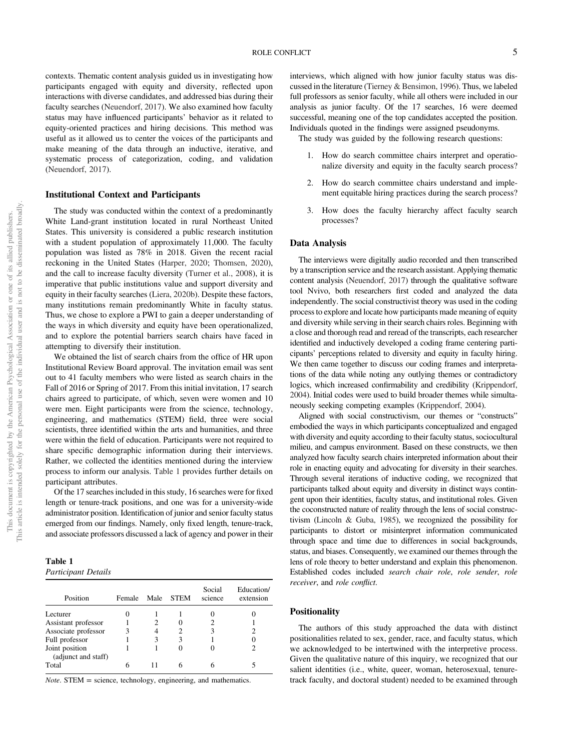contexts. Thematic content analysis guided us in investigating how participants engaged with equity and diversity, reflected upon interactions with diverse candidates, and addressed bias during their faculty searches (Neuendorf, 2017). We also examined how faculty status may have influenced participants' behavior as it related to equity-oriented practices and hiring decisions. This method was useful as it allowed us to center the voices of the participants and make meaning of the data through an inductive, iterative, and systematic process of categorization, coding, and validation (Neuendorf, 2017).

#### Institutional Context and Participants

The study was conducted within the context of a predominantly White Land-grant institution located in rural Northeast United States. This university is considered a public research institution with a student population of approximately 11,000. The faculty population was listed as 78% in 2018. Given the recent racial reckoning in the United States (Harper, 2020; Thomsen, 2020), and the call to increase faculty diversity (Turner et al., 2008), it is imperative that public institutions value and support diversity and equity in their faculty searches (Liera, 2020b). Despite these factors, many institutions remain predominantly White in faculty status. Thus, we chose to explore a PWI to gain a deeper understanding of the ways in which diversity and equity have been operationalized, and to explore the potential barriers search chairs have faced in attempting to diversify their institution.

We obtained the list of search chairs from the office of HR upon Institutional Review Board approval. The invitation email was sent out to 41 faculty members who were listed as search chairs in the Fall of 2016 or Spring of 2017. From this initial invitation, 17 search chairs agreed to participate, of which, seven were women and 10 were men. Eight participants were from the science, technology, engineering, and mathematics (STEM) field, three were social scientists, three identified within the arts and humanities, and three were within the field of education. Participants were not required to share specific demographic information during their interviews. Rather, we collected the identities mentioned during the interview process to inform our analysis. Table 1 provides further details on participant attributes.

Of the 17 searches included in this study, 16 searches were for fixed length or tenure-track positions, and one was for a university-wide administrator position. Identification of junior and senior faculty status emerged from our findings. Namely, only fixed length, tenure-track, and associate professors discussed a lack of agency and power in their

Table 1 Participant Details

| Position                              | Female | Male | <b>STEM</b> | Social<br>science | Education/<br>extension |
|---------------------------------------|--------|------|-------------|-------------------|-------------------------|
| Lecturer                              |        |      |             |                   |                         |
| Assistant professor                   |        |      |             |                   |                         |
| Associate professor                   |        |      |             |                   |                         |
| Full professor                        |        | 3    | 3           |                   |                         |
| Joint position<br>(adjunct and staff) |        |      | 0           |                   |                         |
| Total                                 |        |      | h           |                   |                         |

 $Note. **STEM** = science, technology, engineering, and mathematics.$ 

interviews, which aligned with how junior faculty status was discussed in the literature (Tierney & Bensimon, 1996). Thus, we labeled full professors as senior faculty, while all others were included in our analysis as junior faculty. Of the 17 searches, 16 were deemed successful, meaning one of the top candidates accepted the position. Individuals quoted in the findings were assigned pseudonyms.

The study was guided by the following research questions:

- 1. How do search committee chairs interpret and operationalize diversity and equity in the faculty search process?
- 2. How do search committee chairs understand and implement equitable hiring practices during the search process?
- 3. How does the faculty hierarchy affect faculty search processes?

#### Data Analysis

The interviews were digitally audio recorded and then transcribed by a transcription service and the research assistant. Applying thematic content analysis (Neuendorf, 2017) through the qualitative software tool Nvivo, both researchers first coded and analyzed the data independently. The social constructivist theory was used in the coding process to explore and locate how participants made meaning of equity and diversity while serving in their search chairs roles. Beginning with a close and thorough read and reread of the transcripts, each researcher identified and inductively developed a coding frame centering participants' perceptions related to diversity and equity in faculty hiring. We then came together to discuss our coding frames and interpretations of the data while noting any outlying themes or contradictory logics, which increased confirmability and credibility (Krippendorf, 2004). Initial codes were used to build broader themes while simultaneously seeking competing examples (Krippendorf, 2004).

Aligned with social constructivism, our themes or "constructs" embodied the ways in which participants conceptualized and engaged with diversity and equity according to their faculty status, sociocultural milieu, and campus environment. Based on these constructs, we then analyzed how faculty search chairs interpreted information about their role in enacting equity and advocating for diversity in their searches. Through several iterations of inductive coding, we recognized that participants talked about equity and diversity in distinct ways contingent upon their identities, faculty status, and institutional roles. Given the coconstructed nature of reality through the lens of social constructivism (Lincoln & Guba, 1985), we recognized the possibility for participants to distort or misinterpret information communicated through space and time due to differences in social backgrounds, status, and biases. Consequently, we examined our themes through the lens of role theory to better understand and explain this phenomenon. Established codes included search chair role, role sender, role receiver, and role conflict.

#### **Positionality**

The authors of this study approached the data with distinct positionalities related to sex, gender, race, and faculty status, which we acknowledged to be intertwined with the interpretive process. Given the qualitative nature of this inquiry, we recognized that our salient identities (i.e., white, queer, woman, heterosexual, tenuretrack faculty, and doctoral student) needed to be examined through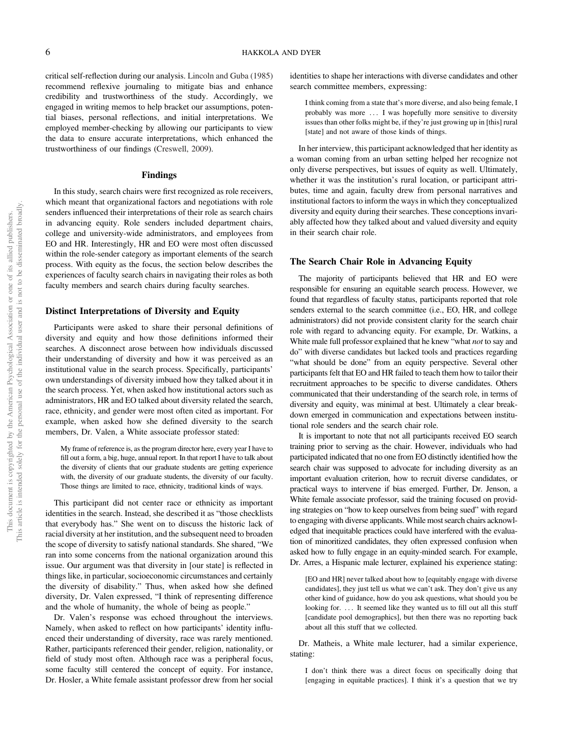critical self-reflection during our analysis. Lincoln and Guba (1985) recommend reflexive journaling to mitigate bias and enhance credibility and trustworthiness of the study. Accordingly, we engaged in writing memos to help bracket our assumptions, potential biases, personal reflections, and initial interpretations. We employed member-checking by allowing our participants to view the data to ensure accurate interpretations, which enhanced the trustworthiness of our findings (Creswell, 2009).

#### Findings

In this study, search chairs were first recognized as role receivers, which meant that organizational factors and negotiations with role senders influenced their interpretations of their role as search chairs in advancing equity. Role senders included department chairs, college and university-wide administrators, and employees from EO and HR. Interestingly, HR and EO were most often discussed within the role-sender category as important elements of the search process. With equity as the focus, the section below describes the experiences of faculty search chairs in navigating their roles as both faculty members and search chairs during faculty searches.

#### Distinct Interpretations of Diversity and Equity

Participants were asked to share their personal definitions of diversity and equity and how those definitions informed their searches. A disconnect arose between how individuals discussed their understanding of diversity and how it was perceived as an institutional value in the search process. Specifically, participants' own understandings of diversity imbued how they talked about it in the search process. Yet, when asked how institutional actors such as administrators, HR and EO talked about diversity related the search, race, ethnicity, and gender were most often cited as important. For example, when asked how she defined diversity to the search members, Dr. Valen, a White associate professor stated:

My frame of reference is, as the program director here, every year I have to fill out a form, a big, huge, annual report. In that report I have to talk about the diversity of clients that our graduate students are getting experience with, the diversity of our graduate students, the diversity of our faculty. Those things are limited to race, ethnicity, traditional kinds of ways.

This participant did not center race or ethnicity as important identities in the search. Instead, she described it as "those checklists that everybody has." She went on to discuss the historic lack of racial diversity at her institution, and the subsequent need to broaden the scope of diversity to satisfy national standards. She shared, "We ran into some concerns from the national organization around this issue. Our argument was that diversity in [our state] is reflected in things like, in particular, socioeconomic circumstances and certainly the diversity of disability." Thus, when asked how she defined diversity, Dr. Valen expressed, "I think of representing difference and the whole of humanity, the whole of being as people."

Dr. Valen's response was echoed throughout the interviews. Namely, when asked to reflect on how participants' identity influenced their understanding of diversity, race was rarely mentioned. Rather, participants referenced their gender, religion, nationality, or field of study most often. Although race was a peripheral focus, some faculty still centered the concept of equity. For instance, Dr. Hosler, a White female assistant professor drew from her social identities to shape her interactions with diverse candidates and other search committee members, expressing:

I think coming from a state that's more diverse, and also being female, I probably was more ::: I was hopefully more sensitive to diversity issues than other folks might be, if they're just growing up in [this] rural [state] and not aware of those kinds of things.

In her interview, this participant acknowledged that her identity as a woman coming from an urban setting helped her recognize not only diverse perspectives, but issues of equity as well. Ultimately, whether it was the institution's rural location, or participant attributes, time and again, faculty drew from personal narratives and institutional factors to inform the ways in which they conceptualized diversity and equity during their searches. These conceptions invariably affected how they talked about and valued diversity and equity in their search chair role.

# The Search Chair Role in Advancing Equity

The majority of participants believed that HR and EO were responsible for ensuring an equitable search process. However, we found that regardless of faculty status, participants reported that role senders external to the search committee (i.e., EO, HR, and college administrators) did not provide consistent clarity for the search chair role with regard to advancing equity. For example, Dr. Watkins, a White male full professor explained that he knew "what *not* to say and do" with diverse candidates but lacked tools and practices regarding "what should be done" from an equity perspective. Several other participants felt that EO and HR failed to teach them how to tailor their recruitment approaches to be specific to diverse candidates. Others communicated that their understanding of the search role, in terms of diversity and equity, was minimal at best. Ultimately a clear breakdown emerged in communication and expectations between institutional role senders and the search chair role.

It is important to note that not all participants received EO search training prior to serving as the chair. However, individuals who had participated indicated that no one from EO distinctly identified how the search chair was supposed to advocate for including diversity as an important evaluation criterion, how to recruit diverse candidates, or practical ways to intervene if bias emerged. Further, Dr. Jenson, a White female associate professor, said the training focused on providing strategies on "how to keep ourselves from being sued" with regard to engaging with diverse applicants. While most search chairs acknowledged that inequitable practices could have interfered with the evaluation of minoritized candidates, they often expressed confusion when asked how to fully engage in an equity-minded search. For example, Dr. Arres, a Hispanic male lecturer, explained his experience stating:

[EO and HR] never talked about how to [equitably engage with diverse candidates], they just tell us what we can't ask. They don't give us any other kind of guidance, how do you ask questions, what should you be looking for. ... It seemed like they wanted us to fill out all this stuff [candidate pool demographics], but then there was no reporting back about all this stuff that we collected.

Dr. Matheis, a White male lecturer, had a similar experience, stating:

I don't think there was a direct focus on specifically doing that [engaging in equitable practices]. I think it's a question that we try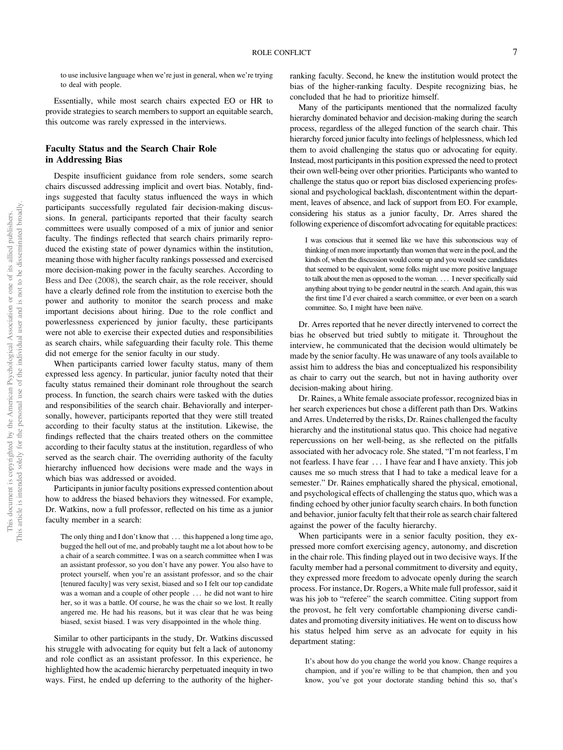to use inclusive language when we're just in general, when we're trying to deal with people.

Essentially, while most search chairs expected EO or HR to provide strategies to search members to support an equitable search, this outcome was rarely expressed in the interviews.

## Faculty Status and the Search Chair Role in Addressing Bias

Despite insufficient guidance from role senders, some search chairs discussed addressing implicit and overt bias. Notably, findings suggested that faculty status influenced the ways in which participants successfully regulated fair decision-making discussions. In general, participants reported that their faculty search committees were usually composed of a mix of junior and senior faculty. The findings reflected that search chairs primarily reproduced the existing state of power dynamics within the institution, meaning those with higher faculty rankings possessed and exercised more decision-making power in the faculty searches. According to Bess and Dee (2008), the search chair, as the role receiver, should have a clearly defined role from the institution to exercise both the power and authority to monitor the search process and make important decisions about hiring. Due to the role conflict and powerlessness experienced by junior faculty, these participants were not able to exercise their expected duties and responsibilities as search chairs, while safeguarding their faculty role. This theme did not emerge for the senior faculty in our study.

When participants carried lower faculty status, many of them expressed less agency. In particular, junior faculty noted that their faculty status remained their dominant role throughout the search process. In function, the search chairs were tasked with the duties and responsibilities of the search chair. Behaviorally and interpersonally, however, participants reported that they were still treated according to their faculty status at the institution. Likewise, the findings reflected that the chairs treated others on the committee according to their faculty status at the institution, regardless of who served as the search chair. The overriding authority of the faculty hierarchy influenced how decisions were made and the ways in which bias was addressed or avoided.

Participants in junior faculty positions expressed contention about how to address the biased behaviors they witnessed. For example, Dr. Watkins, now a full professor, reflected on his time as a junior faculty member in a search:

The only thing and I don't know that ... this happened a long time ago, bugged the hell out of me, and probably taught me a lot about how to be a chair of a search committee. I was on a search committee when I was an assistant professor, so you don't have any power. You also have to protect yourself, when you're an assistant professor, and so the chair [tenured faculty] was very sexist, biased and so I felt our top candidate was a woman and a couple of other people ... he did not want to hire her, so it was a battle. Of course, he was the chair so we lost. It really angered me. He had his reasons, but it was clear that he was being biased, sexist biased. I was very disappointed in the whole thing.

Similar to other participants in the study, Dr. Watkins discussed his struggle with advocating for equity but felt a lack of autonomy and role conflict as an assistant professor. In this experience, he highlighted how the academic hierarchy perpetuated inequity in two ways. First, he ended up deferring to the authority of the higherranking faculty. Second, he knew the institution would protect the bias of the higher-ranking faculty. Despite recognizing bias, he concluded that he had to prioritize himself.

Many of the participants mentioned that the normalized faculty hierarchy dominated behavior and decision-making during the search process, regardless of the alleged function of the search chair. This hierarchy forced junior faculty into feelings of helplessness, which led them to avoid challenging the status quo or advocating for equity. Instead, most participants in this position expressed the need to protect their own well-being over other priorities. Participants who wanted to challenge the status quo or report bias disclosed experiencing professional and psychological backlash, discontentment within the department, leaves of absence, and lack of support from EO. For example, considering his status as a junior faculty, Dr. Arres shared the following experience of discomfort advocating for equitable practices:

I was conscious that it seemed like we have this subconscious way of thinking of men more importantly than women that were in the pool, and the kinds of, when the discussion would come up and you would see candidates that seemed to be equivalent, some folks might use more positive language to talk about the men as opposed to the woman. ::: I never specifically said anything about trying to be gender neutral in the search. And again, this was the first time I'd ever chaired a search committee, or ever been on a search committee. So, I might have been naïve.

Dr. Arres reported that he never directly intervened to correct the bias he observed but tried subtly to mitigate it. Throughout the interview, he communicated that the decision would ultimately be made by the senior faculty. He was unaware of any tools available to assist him to address the bias and conceptualized his responsibility as chair to carry out the search, but not in having authority over decision-making about hiring.

Dr. Raines, a White female associate professor, recognized bias in her search experiences but chose a different path than Drs. Watkins and Arres. Undeterred by the risks, Dr. Raines challenged the faculty hierarchy and the institutional status quo. This choice had negative repercussions on her well-being, as she reflected on the pitfalls associated with her advocacy role. She stated, "I'm not fearless, I'm not fearless. I have fear ::: I have fear and I have anxiety. This job causes me so much stress that I had to take a medical leave for a semester." Dr. Raines emphatically shared the physical, emotional, and psychological effects of challenging the status quo, which was a finding echoed by other junior faculty search chairs. In both function and behavior, junior faculty felt that their role as search chair faltered against the power of the faculty hierarchy.

When participants were in a senior faculty position, they expressed more comfort exercising agency, autonomy, and discretion in the chair role. This finding played out in two decisive ways. If the faculty member had a personal commitment to diversity and equity, they expressed more freedom to advocate openly during the search process. For instance, Dr. Rogers, a White male full professor, said it was his job to "referee" the search committee. Citing support from the provost, he felt very comfortable championing diverse candidates and promoting diversity initiatives. He went on to discuss how his status helped him serve as an advocate for equity in his department stating:

It's about how do you change the world you know. Change requires a champion, and if you're willing to be that champion, then and you know, you've got your doctorate standing behind this so, that's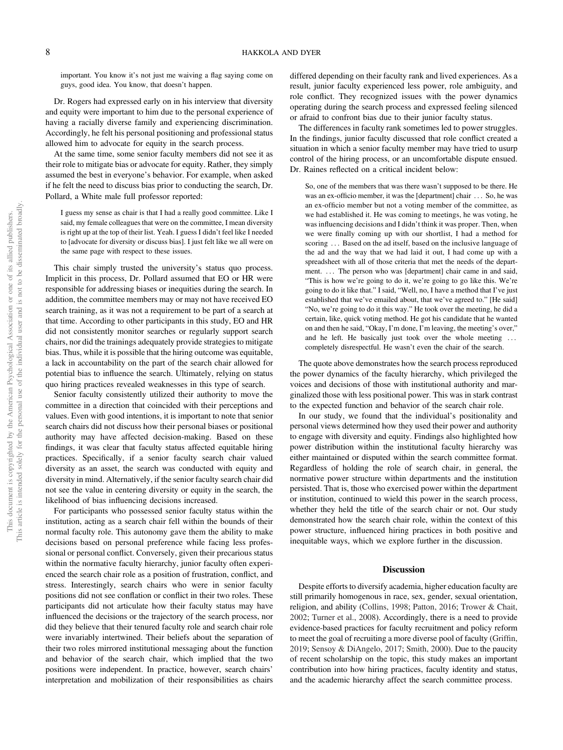important. You know it's not just me waiving a flag saying come on guys, good idea. You know, that doesn't happen.

Dr. Rogers had expressed early on in his interview that diversity and equity were important to him due to the personal experience of having a racially diverse family and experiencing discrimination. Accordingly, he felt his personal positioning and professional status allowed him to advocate for equity in the search process.

At the same time, some senior faculty members did not see it as their role to mitigate bias or advocate for equity. Rather, they simply assumed the best in everyone's behavior. For example, when asked if he felt the need to discuss bias prior to conducting the search, Dr. Pollard, a White male full professor reported:

I guess my sense as chair is that I had a really good committee. Like I said, my female colleagues that were on the committee, I mean diversity is right up at the top of their list. Yeah. I guess I didn't feel like I needed to [advocate for diversity or discuss bias]. I just felt like we all were on the same page with respect to these issues.

This chair simply trusted the university's status quo process. Implicit in this process, Dr. Pollard assumed that EO or HR were responsible for addressing biases or inequities during the search. In addition, the committee members may or may not have received EO search training, as it was not a requirement to be part of a search at that time. According to other participants in this study, EO and HR did not consistently monitor searches or regularly support search chairs, nor did the trainings adequately provide strategies to mitigate bias. Thus, while it is possible that the hiring outcome was equitable, a lack in accountability on the part of the search chair allowed for potential bias to influence the search. Ultimately, relying on status quo hiring practices revealed weaknesses in this type of search.

Senior faculty consistently utilized their authority to move the committee in a direction that coincided with their perceptions and values. Even with good intentions, it is important to note that senior search chairs did not discuss how their personal biases or positional authority may have affected decision-making. Based on these findings, it was clear that faculty status affected equitable hiring practices. Specifically, if a senior faculty search chair valued diversity as an asset, the search was conducted with equity and diversity in mind. Alternatively, if the senior faculty search chair did not see the value in centering diversity or equity in the search, the likelihood of bias influencing decisions increased.

For participants who possessed senior faculty status within the institution, acting as a search chair fell within the bounds of their normal faculty role. This autonomy gave them the ability to make decisions based on personal preference while facing less professional or personal conflict. Conversely, given their precarious status within the normative faculty hierarchy, junior faculty often experienced the search chair role as a position of frustration, conflict, and stress. Interestingly, search chairs who were in senior faculty positions did not see conflation or conflict in their two roles. These participants did not articulate how their faculty status may have influenced the decisions or the trajectory of the search process, nor did they believe that their tenured faculty role and search chair role were invariably intertwined. Their beliefs about the separation of their two roles mirrored institutional messaging about the function and behavior of the search chair, which implied that the two positions were independent. In practice, however, search chairs' interpretation and mobilization of their responsibilities as chairs differed depending on their faculty rank and lived experiences. As a result, junior faculty experienced less power, role ambiguity, and role conflict. They recognized issues with the power dynamics operating during the search process and expressed feeling silenced or afraid to confront bias due to their junior faculty status.

The differences in faculty rank sometimes led to power struggles. In the findings, junior faculty discussed that role conflict created a situation in which a senior faculty member may have tried to usurp control of the hiring process, or an uncomfortable dispute ensued. Dr. Raines reflected on a critical incident below:

So, one of the members that was there wasn't supposed to be there. He was an ex-officio member, it was the [department] chair ... So, he was an ex-officio member but not a voting member of the committee, as we had established it. He was coming to meetings, he was voting, he was influencing decisions and I didn't think it was proper. Then, when we were finally coming up with our shortlist, I had a method for scoring ... Based on the ad itself, based on the inclusive language of the ad and the way that we had laid it out, I had come up with a spreadsheet with all of those criteria that met the needs of the department. ... The person who was [department] chair came in and said, "This is how we're going to do it, we're going to go like this. We're going to do it like that." I said, "Well, no, I have a method that I've just established that we've emailed about, that we've agreed to." [He said] "No, we're going to do it this way." He took over the meeting, he did a certain, like, quick voting method. He got his candidate that he wanted on and then he said, "Okay, I'm done, I'm leaving, the meeting's over," and he left. He basically just took over the whole meeting ... completely disrespectful. He wasn't even the chair of the search.

The quote above demonstrates how the search process reproduced the power dynamics of the faculty hierarchy, which privileged the voices and decisions of those with institutional authority and marginalized those with less positional power. This was in stark contrast to the expected function and behavior of the search chair role.

In our study, we found that the individual's positionality and personal views determined how they used their power and authority to engage with diversity and equity. Findings also highlighted how power distribution within the institutional faculty hierarchy was either maintained or disputed within the search committee format. Regardless of holding the role of search chair, in general, the normative power structure within departments and the institution persisted. That is, those who exercised power within the department or institution, continued to wield this power in the search process, whether they held the title of the search chair or not. Our study demonstrated how the search chair role, within the context of this power structure, influenced hiring practices in both positive and inequitable ways, which we explore further in the discussion.

#### **Discussion**

Despite efforts to diversify academia, higher education faculty are still primarily homogenous in race, sex, gender, sexual orientation, religion, and ability (Collins, 1998; Patton, 2016; Trower & Chait, 2002; Turner et al., 2008). Accordingly, there is a need to provide evidence-based practices for faculty recruitment and policy reform to meet the goal of recruiting a more diverse pool of faculty (Griffin, 2019; Sensoy & DiAngelo, 2017; Smith, 2000). Due to the paucity of recent scholarship on the topic, this study makes an important contribution into how hiring practices, faculty identity and status, and the academic hierarchy affect the search committee process.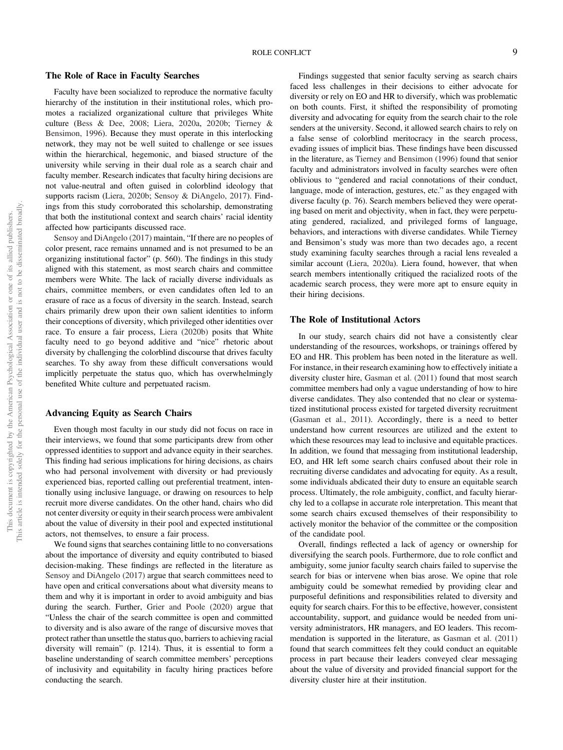### ROLE CONFLICT 9

#### The Role of Race in Faculty Searches

Faculty have been socialized to reproduce the normative faculty hierarchy of the institution in their institutional roles, which promotes a racialized organizational culture that privileges White culture (Bess & Dee, 2008; Liera, 2020a, 2020b; Tierney & Bensimon, 1996). Because they must operate in this interlocking network, they may not be well suited to challenge or see issues within the hierarchical, hegemonic, and biased structure of the university while serving in their dual role as a search chair and faculty member. Research indicates that faculty hiring decisions are not value-neutral and often guised in colorblind ideology that supports racism (Liera, 2020b; Sensoy & DiAngelo, 2017). Findings from this study corroborated this scholarship, demonstrating that both the institutional context and search chairs' racial identity affected how participants discussed race.

Sensoy and DiAngelo (2017) maintain, "If there are no peoples of color present, race remains unnamed and is not presumed to be an organizing institutional factor" (p. 560). The findings in this study aligned with this statement, as most search chairs and committee members were White. The lack of racially diverse individuals as chairs, committee members, or even candidates often led to an erasure of race as a focus of diversity in the search. Instead, search chairs primarily drew upon their own salient identities to inform their conceptions of diversity, which privileged other identities over race. To ensure a fair process, Liera (2020b) posits that White faculty need to go beyond additive and "nice" rhetoric about diversity by challenging the colorblind discourse that drives faculty searches. To shy away from these difficult conversations would implicitly perpetuate the status quo, which has overwhelmingly benefited White culture and perpetuated racism.

#### Advancing Equity as Search Chairs

Even though most faculty in our study did not focus on race in their interviews, we found that some participants drew from other oppressed identities to support and advance equity in their searches. This finding had serious implications for hiring decisions, as chairs who had personal involvement with diversity or had previously experienced bias, reported calling out preferential treatment, intentionally using inclusive language, or drawing on resources to help recruit more diverse candidates. On the other hand, chairs who did not center diversity or equity in their search process were ambivalent about the value of diversity in their pool and expected institutional actors, not themselves, to ensure a fair process.

We found signs that searches containing little to no conversations about the importance of diversity and equity contributed to biased decision-making. These findings are reflected in the literature as Sensoy and DiAngelo (2017) argue that search committees need to have open and critical conversations about what diversity means to them and why it is important in order to avoid ambiguity and bias during the search. Further, Grier and Poole (2020) argue that "Unless the chair of the search committee is open and committed to diversity and is also aware of the range of discursive moves that protect rather than unsettle the status quo, barriers to achieving racial diversity will remain" (p. 1214). Thus, it is essential to form a baseline understanding of search committee members' perceptions of inclusivity and equitability in faculty hiring practices before conducting the search.

Findings suggested that senior faculty serving as search chairs faced less challenges in their decisions to either advocate for diversity or rely on EO and HR to diversify, which was problematic on both counts. First, it shifted the responsibility of promoting diversity and advocating for equity from the search chair to the role senders at the university. Second, it allowed search chairs to rely on a false sense of colorblind meritocracy in the search process, evading issues of implicit bias. These findings have been discussed in the literature, as Tierney and Bensimon (1996) found that senior faculty and administrators involved in faculty searches were often oblivious to "gendered and racial connotations of their conduct, language, mode of interaction, gestures, etc." as they engaged with diverse faculty (p. 76). Search members believed they were operating based on merit and objectivity, when in fact, they were perpetuating gendered, racialized, and privileged forms of language, behaviors, and interactions with diverse candidates. While Tierney and Bensimon's study was more than two decades ago, a recent study examining faculty searches through a racial lens revealed a similar account (Liera, 2020a). Liera found, however, that when search members intentionally critiqued the racialized roots of the academic search process, they were more apt to ensure equity in their hiring decisions.

#### The Role of Institutional Actors

In our study, search chairs did not have a consistently clear understanding of the resources, workshops, or trainings offered by EO and HR. This problem has been noted in the literature as well. For instance, in their research examining how to effectively initiate a diversity cluster hire, Gasman et al. (2011) found that most search committee members had only a vague understanding of how to hire diverse candidates. They also contended that no clear or systematized institutional process existed for targeted diversity recruitment (Gasman et al., 2011). Accordingly, there is a need to better understand how current resources are utilized and the extent to which these resources may lead to inclusive and equitable practices. In addition, we found that messaging from institutional leadership, EO, and HR left some search chairs confused about their role in recruiting diverse candidates and advocating for equity. As a result, some individuals abdicated their duty to ensure an equitable search process. Ultimately, the role ambiguity, conflict, and faculty hierarchy led to a collapse in accurate role interpretation. This meant that some search chairs excused themselves of their responsibility to actively monitor the behavior of the committee or the composition of the candidate pool.

Overall, findings reflected a lack of agency or ownership for diversifying the search pools. Furthermore, due to role conflict and ambiguity, some junior faculty search chairs failed to supervise the search for bias or intervene when bias arose. We opine that role ambiguity could be somewhat remedied by providing clear and purposeful definitions and responsibilities related to diversity and equity for search chairs. For this to be effective, however, consistent accountability, support, and guidance would be needed from university administrators, HR managers, and EO leaders. This recommendation is supported in the literature, as Gasman et al. (2011) found that search committees felt they could conduct an equitable process in part because their leaders conveyed clear messaging about the value of diversity and provided financial support for the diversity cluster hire at their institution.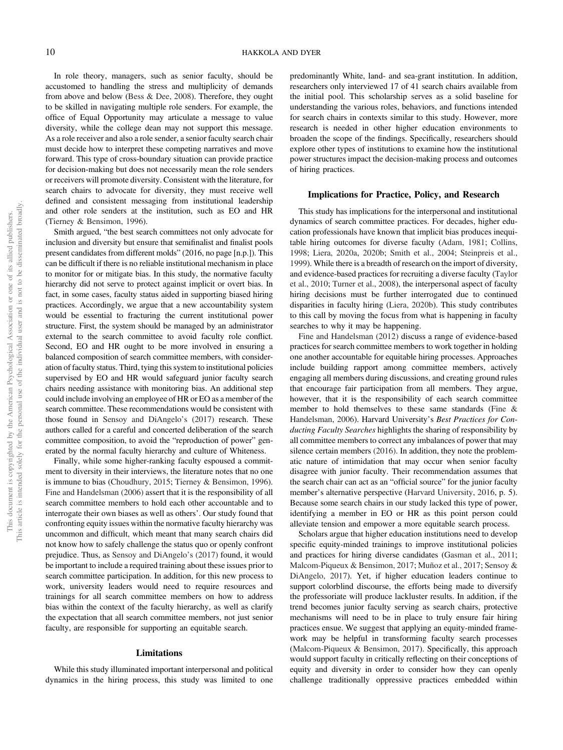In role theory, managers, such as senior faculty, should be accustomed to handling the stress and multiplicity of demands from above and below (Bess & Dee, 2008). Therefore, they ought to be skilled in navigating multiple role senders. For example, the office of Equal Opportunity may articulate a message to value diversity, while the college dean may not support this message. As a role receiver and also a role sender, a senior faculty search chair must decide how to interpret these competing narratives and move forward. This type of cross-boundary situation can provide practice for decision-making but does not necessarily mean the role senders or receivers will promote diversity. Consistent with the literature, for search chairs to advocate for diversity, they must receive well defined and consistent messaging from institutional leadership and other role senders at the institution, such as EO and HR (Tierney & Bensimon, 1996).

Smith argued, "the best search committees not only advocate for inclusion and diversity but ensure that semifinalist and finalist pools present candidates from different molds" (2016, no page [n.p.]). This can be difficult if there is no reliable institutional mechanism in place to monitor for or mitigate bias. In this study, the normative faculty hierarchy did not serve to protect against implicit or overt bias. In fact, in some cases, faculty status aided in supporting biased hiring practices. Accordingly, we argue that a new accountability system would be essential to fracturing the current institutional power structure. First, the system should be managed by an administrator external to the search committee to avoid faculty role conflict. Second, EO and HR ought to be more involved in ensuring a balanced composition of search committee members, with consideration of faculty status. Third, tying this system to institutional policies supervised by EO and HR would safeguard junior faculty search chairs needing assistance with monitoring bias. An additional step could include involving an employee of HR or EO as a member of the search committee. These recommendations would be consistent with those found in Sensoy and DiAngelo's (2017) research. These authors called for a careful and concerted deliberation of the search committee composition, to avoid the "reproduction of power" generated by the normal faculty hierarchy and culture of Whiteness.

Finally, while some higher-ranking faculty espoused a commitment to diversity in their interviews, the literature notes that no one is immune to bias (Choudhury, 2015; Tierney & Bensimon, 1996). Fine and Handelsman (2006) assert that it is the responsibility of all search committee members to hold each other accountable and to interrogate their own biases as well as others'. Our study found that confronting equity issues within the normative faculty hierarchy was uncommon and difficult, which meant that many search chairs did not know how to safely challenge the status quo or openly confront prejudice. Thus, as Sensoy and DiAngelo's (2017) found, it would be important to include a required training about these issues prior to search committee participation. In addition, for this new process to work, university leaders would need to require resources and trainings for all search committee members on how to address bias within the context of the faculty hierarchy, as well as clarify the expectation that all search committee members, not just senior faculty, are responsible for supporting an equitable search.

#### Limitations

While this study illuminated important interpersonal and political dynamics in the hiring process, this study was limited to one

predominantly White, land- and sea-grant institution. In addition, researchers only interviewed 17 of 41 search chairs available from the initial pool. This scholarship serves as a solid baseline for understanding the various roles, behaviors, and functions intended for search chairs in contexts similar to this study. However, more research is needed in other higher education environments to broaden the scope of the findings. Specifically, researchers should explore other types of institutions to examine how the institutional power structures impact the decision-making process and outcomes of hiring practices.

# Implications for Practice, Policy, and Research

This study has implications for the interpersonal and institutional dynamics of search committee practices. For decades, higher education professionals have known that implicit bias produces inequitable hiring outcomes for diverse faculty (Adam, 1981; Collins, 1998; Liera, 2020a, 2020b; Smith et al., 2004; Steinpreis et al., 1999). While there is a breadth of research on the import of diversity, and evidence-based practices for recruiting a diverse faculty (Taylor et al., 2010; Turner et al., 2008), the interpersonal aspect of faculty hiring decisions must be further interrogated due to continued disparities in faculty hiring (Liera, 2020b). This study contributes to this call by moving the focus from what is happening in faculty searches to why it may be happening.

Fine and Handelsman (2012) discuss a range of evidence-based practices for search committee members to work together in holding one another accountable for equitable hiring processes. Approaches include building rapport among committee members, actively engaging all members during discussions, and creating ground rules that encourage fair participation from all members. They argue, however, that it is the responsibility of each search committee member to hold themselves to these same standards (Fine & Handelsman, 2006). Harvard University's Best Practices for Conducting Faculty Searches highlights the sharing of responsibility by all committee members to correct any imbalances of power that may silence certain members (2016). In addition, they note the problematic nature of intimidation that may occur when senior faculty disagree with junior faculty. Their recommendation assumes that the search chair can act as an "official source" for the junior faculty member's alternative perspective (Harvard University, 2016, p. 5). Because some search chairs in our study lacked this type of power, identifying a member in EO or HR as this point person could alleviate tension and empower a more equitable search process.

Scholars argue that higher education institutions need to develop specific equity-minded trainings to improve institutional policies and practices for hiring diverse candidates (Gasman et al., 2011; Malcom-Piqueux & Bensimon, 2017; Muñoz et al., 2017; Sensoy & DiAngelo, 2017). Yet, if higher education leaders continue to support colorblind discourse, the efforts being made to diversify the professoriate will produce lackluster results. In addition, if the trend becomes junior faculty serving as search chairs, protective mechanisms will need to be in place to truly ensure fair hiring practices ensue. We suggest that applying an equity-minded framework may be helpful in transforming faculty search processes (Malcom-Piqueux & Bensimon, 2017). Specifically, this approach would support faculty in critically reflecting on their conceptions of equity and diversity in order to consider how they can openly challenge traditionally oppressive practices embedded within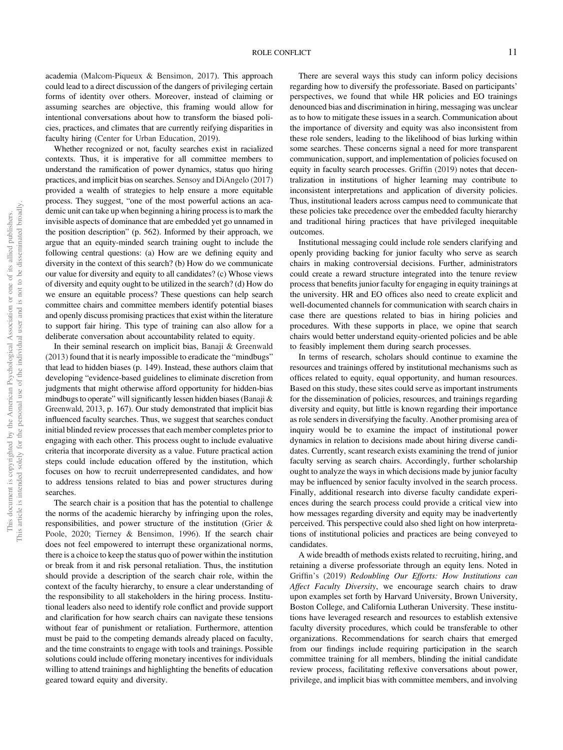academia (Malcom-Piqueux & Bensimon, 2017). This approach could lead to a direct discussion of the dangers of privileging certain forms of identity over others. Moreover, instead of claiming or assuming searches are objective, this framing would allow for intentional conversations about how to transform the biased policies, practices, and climates that are currently reifying disparities in faculty hiring (Center for Urban Education, 2019).

Whether recognized or not, faculty searches exist in racialized contexts. Thus, it is imperative for all committee members to understand the ramification of power dynamics, status quo hiring practices, and implicit bias on searches. Sensoy and DiAngelo (2017) provided a wealth of strategies to help ensure a more equitable process. They suggest, "one of the most powerful actions an academic unit can take up when beginning a hiring process is to mark the invisible aspects of dominance that are embedded yet go unnamed in the position description" (p. 562). Informed by their approach, we argue that an equity-minded search training ought to include the following central questions: (a) How are we defining equity and diversity in the context of this search? (b) How do we communicate our value for diversity and equity to all candidates? (c) Whose views of diversity and equity ought to be utilized in the search? (d) How do we ensure an equitable process? These questions can help search committee chairs and committee members identify potential biases and openly discuss promising practices that exist within the literature to support fair hiring. This type of training can also allow for a deliberate conversation about accountability related to equity.

In their seminal research on implicit bias, Banaji & Greenwald (2013) found that it is nearly impossible to eradicate the "mindbugs" that lead to hidden biases (p. 149). Instead, these authors claim that developing "evidence-based guidelines to eliminate discretion from judgments that might otherwise afford opportunity for hidden-bias mindbugs to operate" will significantly lessen hidden biases (Banaji  $\&$ Greenwald, 2013, p. 167). Our study demonstrated that implicit bias influenced faculty searches. Thus, we suggest that searches conduct initial blinded review processes that each member completes prior to engaging with each other. This process ought to include evaluative criteria that incorporate diversity as a value. Future practical action steps could include education offered by the institution, which focuses on how to recruit underrepresented candidates, and how to address tensions related to bias and power structures during searches.

The search chair is a position that has the potential to challenge the norms of the academic hierarchy by infringing upon the roles, responsibilities, and power structure of the institution (Grier & Poole, 2020; Tierney & Bensimon, 1996). If the search chair does not feel empowered to interrupt these organizational norms, there is a choice to keep the status quo of power within the institution or break from it and risk personal retaliation. Thus, the institution should provide a description of the search chair role, within the context of the faculty hierarchy, to ensure a clear understanding of the responsibility to all stakeholders in the hiring process. Institutional leaders also need to identify role conflict and provide support and clarification for how search chairs can navigate these tensions without fear of punishment or retaliation. Furthermore, attention must be paid to the competing demands already placed on faculty, and the time constraints to engage with tools and trainings. Possible solutions could include offering monetary incentives for individuals willing to attend trainings and highlighting the benefits of education geared toward equity and diversity.

There are several ways this study can inform policy decisions regarding how to diversify the professoriate. Based on participants' perspectives, we found that while HR policies and EO trainings denounced bias and discrimination in hiring, messaging was unclear as to how to mitigate these issues in a search. Communication about the importance of diversity and equity was also inconsistent from these role senders, leading to the likelihood of bias lurking within some searches. These concerns signal a need for more transparent communication, support, and implementation of policies focused on equity in faculty search processes. Griffin (2019) notes that decentralization in institutions of higher learning may contribute to inconsistent interpretations and application of diversity policies. Thus, institutional leaders across campus need to communicate that these policies take precedence over the embedded faculty hierarchy and traditional hiring practices that have privileged inequitable outcomes.

Institutional messaging could include role senders clarifying and openly providing backing for junior faculty who serve as search chairs in making controversial decisions. Further, administrators could create a reward structure integrated into the tenure review process that benefits junior faculty for engaging in equity trainings at the university. HR and EO offices also need to create explicit and well-documented channels for communication with search chairs in case there are questions related to bias in hiring policies and procedures. With these supports in place, we opine that search chairs would better understand equity-oriented policies and be able to feasibly implement them during search processes.

In terms of research, scholars should continue to examine the resources and trainings offered by institutional mechanisms such as offices related to equity, equal opportunity, and human resources. Based on this study, these sites could serve as important instruments for the dissemination of policies, resources, and trainings regarding diversity and equity, but little is known regarding their importance as role senders in diversifying the faculty. Another promising area of inquiry would be to examine the impact of institutional power dynamics in relation to decisions made about hiring diverse candidates. Currently, scant research exists examining the trend of junior faculty serving as search chairs. Accordingly, further scholarship ought to analyze the ways in which decisions made by junior faculty may be influenced by senior faculty involved in the search process. Finally, additional research into diverse faculty candidate experiences during the search process could provide a critical view into how messages regarding diversity and equity may be inadvertently perceived. This perspective could also shed light on how interpretations of institutional policies and practices are being conveyed to candidates.

A wide breadth of methods exists related to recruiting, hiring, and retaining a diverse professoriate through an equity lens. Noted in Griffin's (2019) Redoubling Our Efforts: How Institutions can Affect Faculty Diversity, we encourage search chairs to draw upon examples set forth by Harvard University, Brown University, Boston College, and California Lutheran University. These institutions have leveraged research and resources to establish extensive faculty diversity procedures, which could be transferable to other organizations. Recommendations for search chairs that emerged from our findings include requiring participation in the search committee training for all members, blinding the initial candidate review process, facilitating reflexive conversations about power, privilege, and implicit bias with committee members, and involving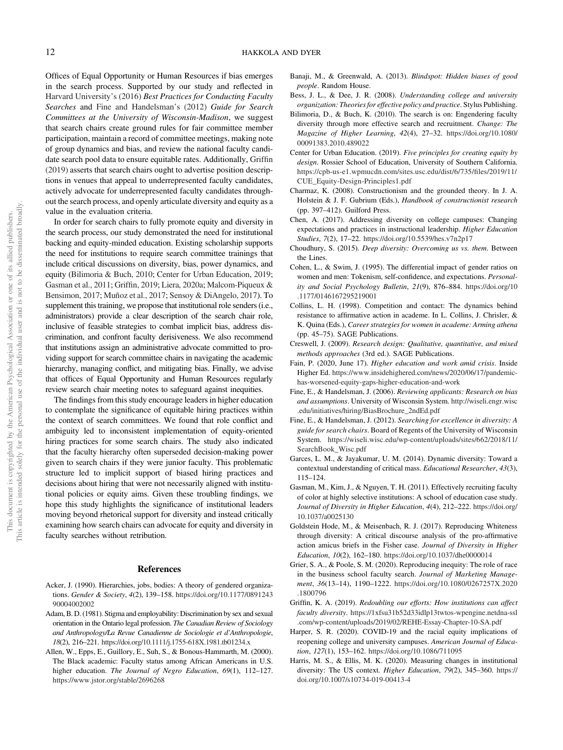Offices of Equal Opportunity or Human Resources if bias emerges in the search process. Supported by our study and reflected in Harvard University's (2016) Best Practices for Conducting Faculty Searches and Fine and Handelsman's (2012) Guide for Search Committees at the University of Wisconsin-Madison, we suggest that search chairs create ground rules for fair committee member participation, maintain a record of committee meetings, making note of group dynamics and bias, and review the national faculty candidate search pool data to ensure equitable rates. Additionally, Griffin (2019) asserts that search chairs ought to advertise position descriptions in venues that appeal to underrepresented faculty candidates, actively advocate for underrepresented faculty candidates throughout the search process, and openly articulate diversity and equity as a value in the evaluation criteria.

In order for search chairs to fully promote equity and diversity in the search process, our study demonstrated the need for institutional backing and equity-minded education. Existing scholarship supports the need for institutions to require search committee trainings that include critical discussions on diversity, bias, power dynamics, and equity (Bilimoria & Buch, 2010; Center for Urban Education, 2019; Gasman et al., 2011; Griffin, 2019; Liera, 2020a; Malcom-Piqueux & Bensimon, 2017; Muñoz et al., 2017; Sensoy & DiAngelo, 2017). To supplement this training, we propose that institutional role senders (i.e., administrators) provide a clear description of the search chair role, inclusive of feasible strategies to combat implicit bias, address discrimination, and confront faculty derisiveness. We also recommend that institutions assign an administrative advocate committed to providing support for search committee chairs in navigating the academic hierarchy, managing conflict, and mitigating bias. Finally, we advise that offices of Equal Opportunity and Human Resources regularly review search chair meeting notes to safeguard against inequities.

The findings from this study encourage leaders in higher education to contemplate the significance of equitable hiring practices within the context of search committees. We found that role conflict and ambiguity led to inconsistent implementation of equity-oriented hiring practices for some search chairs. The study also indicated that the faculty hierarchy often superseded decision-making power given to search chairs if they were junior faculty. This problematic structure led to implicit support of biased hiring practices and decisions about hiring that were not necessarily aligned with institutional policies or equity aims. Given these troubling findings, we hope this study highlights the significance of institutional leaders moving beyond rhetorical support for diversity and instead critically examining how search chairs can advocate for equity and diversity in faculty searches without retribution.

#### References

- Acker, J. (1990). Hierarchies, jobs, bodies: A theory of gendered organizations. Gender & Society, 4(2), 139–158. [https://doi.org/10.1177/0891243](https://doi.org/10.1177/089124390004002002) [90004002002](https://doi.org/10.1177/089124390004002002)
- Adam, B. D. (1981). Stigma and employability: Discrimination by sex and sexual orientation in the Ontario legal profession. The Canadian Review of Sociology and Anthropology/La Revue Canadienne de Sociologie et d'Anthropologie, 18(2), 216–221. <https://doi.org/10.1111/j.1755-618X.1981.tb01234.x>
- Allen, W., Epps, E., Guillory, E., Suh, S., & Bonous-Hammarth, M. (2000). The Black academic: Faculty status among African Americans in U.S. higher education. The Journal of Negro Education, 69(1), 112-127. <https://www.jstor.org/stable/2696268>
- Banaji, M., & Greenwald, A. (2013). Blindspot: Hidden biases of good people. Random House.
- Bess, J. L., & Dee, J. R. (2008). Understanding college and university organization: Theories for effective policy and practice. Stylus Publishing.
- Bilimoria, D., & Buch, K. (2010). The search is on: Engendering faculty diversity through more effective search and recruitment. Change: The Magazine of Higher Learning, 42(4), 27–32. [https://doi.org/10.1080/](https://doi.org/10.1080/00091383.2010.489022) [00091383.2010.489022](https://doi.org/10.1080/00091383.2010.489022)
- Center for Urban Education. (2019). Five principles for creating equity by design. Rossier School of Education, University of Southern California. [https://cpb-us-e1.wpmucdn.com/sites.usc.edu/dist/6/735/](https://cpb-us-e1.wpmucdn.com/sites.usc.edu/dist/6/735/files/2019/11/CUE_Equity-Design-Principles1.pdf)files/2019/11/ [CUE\\_Equity-Design-Principles1.pdf](https://cpb-us-e1.wpmucdn.com/sites.usc.edu/dist/6/735/files/2019/11/CUE_Equity-Design-Principles1.pdf)
- Charmaz, K. (2008). Constructionism and the grounded theory. In J. A. Holstein & J. F. Gubrium (Eds.), Handbook of constructionist research (pp. 397–412). Guilford Press.
- Chen, A. (2017). Addressing diversity on college campuses: Changing expectations and practices in instructional leadership. Higher Education Studies, 7(2), 17–22. <https://doi.org/10.5539/hes.v7n2p17>
- Choudhury, S. (2015). Deep diversity: Overcoming us vs. them. Between the Lines.
- Cohen, L., & Swim, J. (1995). The differential impact of gender ratios on women and men: Tokenism, self-confidence, and expectations. Personality and Social Psychology Bulletin, 21(9), 876–884. [https://doi.org/10](https://doi.org/10.1177/0146167295219001) [.1177/0146167295219001](https://doi.org/10.1177/0146167295219001)
- Collins, L. H. (1998). Competition and contact: The dynamics behind resistance to affirmative action in academe. In L. Collins, J. Chrisler, & K. Quina (Eds.), Career strategies for women in academe: Arming athena (pp. 45–75). SAGE Publications.
- Creswell, J. (2009). Research design: Qualitative, quantitative, and mixed methods approaches (3rd ed.). SAGE Publications.
- Fain, P. (2020, June 17). Higher education and work amid crisis. Inside Higher Ed. [https://www.insidehighered.com/news/2020/06/17/pandemic](https://www.insidehighered.com/news/2020/06/17/pandemic-has-worsened-equity-gaps-higher-education-and-work)[has-worsened-equity-gaps-higher-education-and-work](https://www.insidehighered.com/news/2020/06/17/pandemic-has-worsened-equity-gaps-higher-education-and-work)
- Fine, E., & Handelsman, J. (2006). Reviewing applicants: Research on bias and assumptions. University of Wisconsin System. [http://wiseli.engr.wisc](http://wiseli.engr.wisc.edu/initiatives/hiring/BiasBrochure_2ndEd.pdf) [.edu/initiatives/hiring/BiasBrochure\\_2ndEd.pdf](http://wiseli.engr.wisc.edu/initiatives/hiring/BiasBrochure_2ndEd.pdf)
- Fine, E., & Handelsman, J. (2012). Searching for excellence in diversity: A guide for search chairs. Board of Regents of the University of Wisconsin System. [https://wiseli.wisc.edu/wp-content/uploads/sites/662/2018/11/](https://wiseli.wisc.edu/wp-content/uploads/sites/662/2018/11/SearchBook_Wisc.pdf) [SearchBook\\_Wisc.pdf](https://wiseli.wisc.edu/wp-content/uploads/sites/662/2018/11/SearchBook_Wisc.pdf)
- Garces, L. M., & Jayakumar, U. M. (2014). Dynamic diversity: Toward a contextual understanding of critical mass. Educational Researcher, 43(3), 115–124.
- Gasman, M., Kim, J., & Nguyen, T. H. (2011). Effectively recruiting faculty of color at highly selective institutions: A school of education case study. Journal of Diversity in Higher Education, 4(4), 212–222. [https://doi.org/](https://doi.org/10.1037/a0025130) [10.1037/a0025130](https://doi.org/10.1037/a0025130)
- Goldstein Hode, M., & Meisenbach, R. J. (2017). Reproducing Whiteness through diversity: A critical discourse analysis of the pro-affirmative action amicus briefs in the Fisher case. Journal of Diversity in Higher Education, 10(2), 162–180. <https://doi.org/10.1037/dhe0000014>
- Grier, S. A., & Poole, S. M. (2020). Reproducing inequity: The role of race in the business school faculty search. Journal of Marketing Management, 36(13–14), 1190–1222. [https://doi.org/10.1080/0267257X.2020](https://doi.org/10.1080/0267257X.2020.1800796) [.1800796](https://doi.org/10.1080/0267257X.2020.1800796)
- Griffin, K. A. (2019). Redoubling our efforts: How institutions can affect faculty diversity. [https://1xfsu31b52d33idlp13twtos-wpengine.netdna-ssl](https://1xfsu31b52d33idlp13twtos-wpengine.netdna-ssl.com/wp-content/uploads/2019/02/REHE-Essay-Chapter-10-SA.pdf) [.com/wp-content/uploads/2019/02/REHE-Essay-Chapter-10-SA.pdf](https://1xfsu31b52d33idlp13twtos-wpengine.netdna-ssl.com/wp-content/uploads/2019/02/REHE-Essay-Chapter-10-SA.pdf)
- Harper, S. R. (2020). COVID-19 and the racial equity implications of reopening college and university campuses. American Journal of Education, 127(1), 153–162. <https://doi.org/10.1086/711095>
- Harris, M. S., & Ellis, M. K. (2020). Measuring changes in institutional diversity: The US context. Higher Education, 79(2), 345–360. [https://](https://doi.org/10.1007/s10734-019-00413-4) [doi.org/10.1007/s10734-019-00413-4](https://doi.org/10.1007/s10734-019-00413-4)